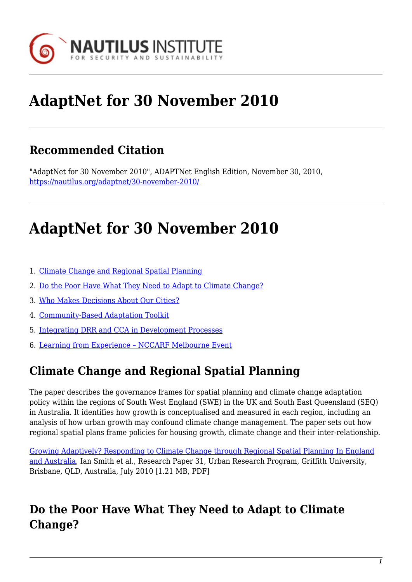

# **AdaptNet for 30 November 2010**

### **Recommended Citation**

"AdaptNet for 30 November 2010", ADAPTNet English Edition, November 30, 2010, <https://nautilus.org/adaptnet/30-november-2010/>

# **AdaptNet for 30 November 2010**

- 1. [Climate Change and Regional Spatial Planning](#page-0-0)
- 2. [Do the Poor Have What They Need to Adapt to Climate Change?](#page-0-1)
- 3. [Who Makes Decisions About Our Cities?](#page-1-0)
- 4. [Community-Based Adaptation Toolkit](#page-1-1)
- 5. [Integrating DRR and CCA in Development Processes](#page-1-2)
- 6. [Learning from Experience NCCARF Melbourne Event](#page-1-3)

### <span id="page-0-0"></span>**Climate Change and Regional Spatial Planning**

The paper describes the governance frames for spatial planning and climate change adaptation policy within the regions of South West England (SWE) in the UK and South East Queensland (SEQ) in Australia. It identifies how growth is conceptualised and measured in each region, including an analysis of how urban growth may confound climate change management. The paper sets out how regional spatial plans frame policies for housing growth, climate change and their inter-relationship.

[Growing Adaptively? Responding to Climate Change through Regional Spatial Planning In England](http://www.griffith.edu.au/__data/assets/pdf_file/0007/230929/urp-rp31-smith-et-al-2010.pdf) [and Australia,](http://www.griffith.edu.au/__data/assets/pdf_file/0007/230929/urp-rp31-smith-et-al-2010.pdf) Ian Smith et al., Research Paper 31, Urban Research Program, Griffith University, Brisbane, QLD, Australia, July 2010 [1.21 MB, PDF]

#### <span id="page-0-1"></span>**Do the Poor Have What They Need to Adapt to Climate Change?**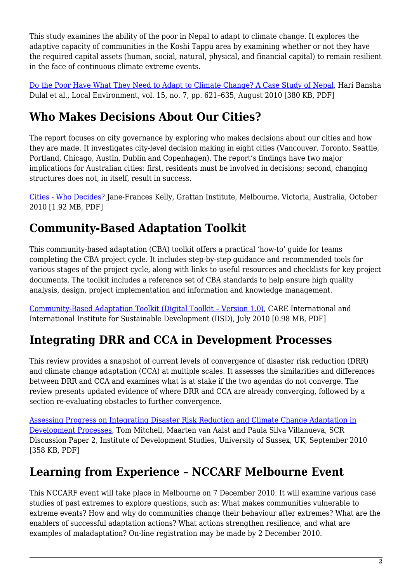This study examines the ability of the poor in Nepal to adapt to climate change. It explores the adaptive capacity of communities in the Koshi Tappu area by examining whether or not they have the required capital assets (human, social, natural, physical, and financial capital) to remain resilient in the face of continuous climate extreme events.

[Do the Poor Have What They Need to Adapt to Climate Change? A Case Study of Nepal](http://www.informaworld.com/smpp/content~db=all~content=a926080445), Hari Bansha Dulal et al., Local Environment, vol. 15, no. 7, pp. 621–635, August 2010 [380 KB, PDF]

## <span id="page-1-0"></span>**Who Makes Decisions About Our Cities?**

The report focuses on city governance by exploring who makes decisions about our cities and how they are made. It investigates city-level decision making in eight cities (Vancouver, Toronto, Seattle, Portland, Chicago, Austin, Dublin and Copenhagen). The report's findings have two major implications for Australian cities: first, residents must be involved in decisions; second, changing structures does not, in itself, result in success.

[Cities - Who Decides?](http://www.grattan.edu.au/publications/052_cities_who_decides.pdf) Jane-Frances Kelly, Grattan Institute, Melbourne, Victoria, Australia, October 2010 [1.92 MB, PDF]

# <span id="page-1-1"></span>**Community-Based Adaptation Toolkit**

This community-based adaptation (CBA) toolkit offers a practical 'how-to' guide for teams completing the CBA project cycle. It includes step-by-step guidance and recommended tools for various stages of the project cycle, along with links to useful resources and checklists for key project documents. The toolkit includes a reference set of CBA standards to help ensure high quality analysis, design, project implementation and information and knowledge management.

[Community-Based Adaptation Toolkit \(Digital Toolkit – Version 1.0\)](http://www.careclimatechange.org/files/toolkit/CARE_CBA_Toolkit.pdf), CARE International and International Institute for Sustainable Development (IISD), July 2010 [0.98 MB, PDF]

## <span id="page-1-2"></span>**Integrating DRR and CCA in Development Processes**

This review provides a snapshot of current levels of convergence of disaster risk reduction (DRR) and climate change adaptation (CCA) at multiple scales. It assesses the similarities and differences between DRR and CCA and examines what is at stake if the two agendas do not converge. The review presents updated evidence of where DRR and CCA are already converging, followed by a section re-evaluating obstacles to further convergence.

[Assessing Progress on Integrating Disaster Risk Reduction and Climate Change Adaptation in](http://community.eldis.org/.59e0d267/Convergence.pdf) [Development Processes,](http://community.eldis.org/.59e0d267/Convergence.pdf) Tom Mitchell, Maarten van Aalst and Paula Silva Villanueva, SCR Discussion Paper 2, Institute of Development Studies, University of Sussex, UK, September 2010 [358 KB, PDF]

## <span id="page-1-3"></span>**Learning from Experience – NCCARF Melbourne Event**

This NCCARF event will take place in Melbourne on 7 December 2010. It will examine various case studies of past extremes to explore questions, such as: What makes communities vulnerable to extreme events? How and why do communities change their behaviour after extremes? What are the enablers of successful adaptation actions? What actions strengthen resilience, and what are examples of maladaptation? On-line registration may be made by 2 December 2010.